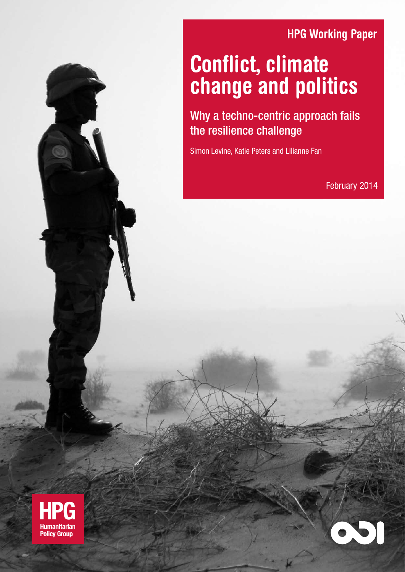#### **HPG Working Paper**

### **Conflict, climate change and politics**

Why a techno-centric approach fails the resilience challenge

Simon Levine, Katie Peters and Lilianne Fan

February 2014



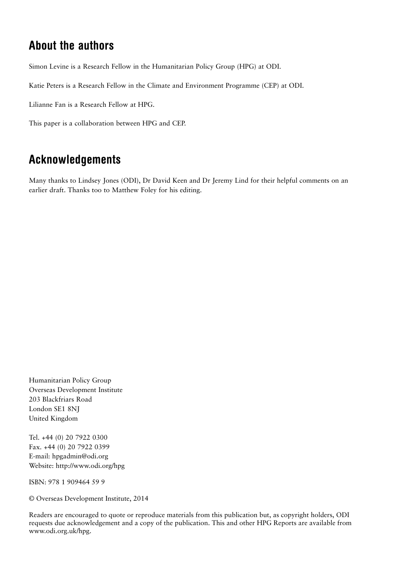#### **About the authors**

Simon Levine is a Research Fellow in the Humanitarian Policy Group (HPG) at ODI.

Katie Peters is a Research Fellow in the Climate and Environment Programme (CEP) at ODI.

Lilianne Fan is a Research Fellow at HPG.

This paper is a collaboration between HPG and CEP.

#### **Acknowledgements**

Many thanks to Lindsey Jones (ODI), Dr David Keen and Dr Jeremy Lind for their helpful comments on an earlier draft. Thanks too to Matthew Foley for his editing.

Humanitarian Policy Group Overseas Development Institute 203 Blackfriars Road London SE1 8NJ United Kingdom

Tel. +44 (0) 20 7922 0300 Fax. +44 (0) 20 7922 0399 E-mail: hpgadmin@odi.org Website: http://www.odi.org/hpg

ISBN: 978 1 909464 59 9

© Overseas Development Institute, 2014

Readers are encouraged to quote or reproduce materials from this publication but, as copyright holders, ODI requests due acknowledgement and a copy of the publication. This and other HPG Reports are available from www.odi.org.uk/hpg.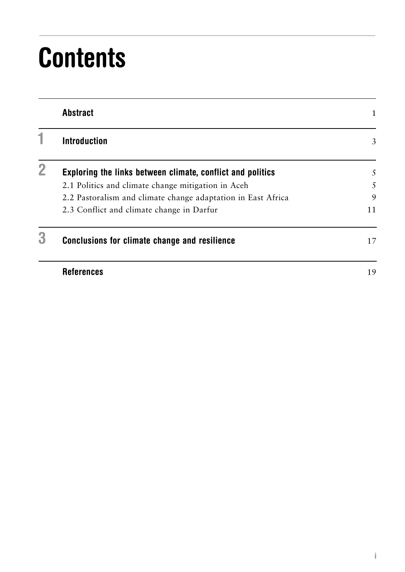# **Contents**

|  | <b>Abstract</b>                                                   |    |
|--|-------------------------------------------------------------------|----|
|  | <b>Introduction</b>                                               | 3  |
|  | <b>Exploring the links between climate, conflict and politics</b> | 5  |
|  | 2.1 Politics and climate change mitigation in Aceh                | 5  |
|  | 2.2 Pastoralism and climate change adaptation in East Africa      | 9  |
|  | 2.3 Conflict and climate change in Darfur                         | 11 |
|  | Conclusions for climate change and resilience                     | 17 |
|  | <b>References</b>                                                 | 19 |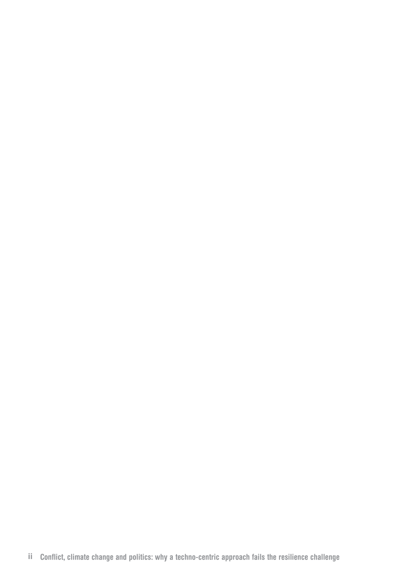**ii Conflict, climate change and politics: why a techno-centric approach fails the resilience challenge**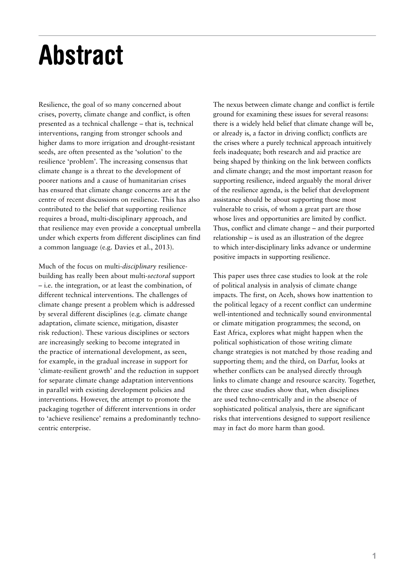## **Abstract**

Resilience, the goal of so many concerned about crises, poverty, climate change and conflict, is often presented as a technical challenge – that is, technical interventions, ranging from stronger schools and higher dams to more irrigation and drought-resistant seeds, are often presented as the 'solution' to the resilience 'problem'. The increasing consensus that climate change is a threat to the development of poorer nations and a cause of humanitarian crises has ensured that climate change concerns are at the centre of recent discussions on resilience. This has also contributed to the belief that supporting resilience requires a broad, multi-disciplinary approach, and that resilience may even provide a conceptual umbrella under which experts from different disciplines can find a common language (e.g. Davies et al., 2013).

Much of the focus on multi-*disciplinary* resiliencebuilding has really been about multi-*sectoral* support – i.e. the integration, or at least the combination, of different technical interventions. The challenges of climate change present a problem which is addressed by several different disciplines (e.g. climate change adaptation, climate science, mitigation, disaster risk reduction). These various disciplines or sectors are increasingly seeking to become integrated in the practice of international development, as seen, for example, in the gradual increase in support for 'climate-resilient growth' and the reduction in support for separate climate change adaptation interventions in parallel with existing development policies and interventions. However, the attempt to promote the packaging together of different interventions in order to 'achieve resilience' remains a predominantly technocentric enterprise.

The nexus between climate change and conflict is fertile ground for examining these issues for several reasons: there is a widely held belief that climate change will be, or already is, a factor in driving conflict; conflicts are the crises where a purely technical approach intuitively feels inadequate; both research and aid practice are being shaped by thinking on the link between conflicts and climate change; and the most important reason for supporting resilience, indeed arguably the moral driver of the resilience agenda, is the belief that development assistance should be about supporting those most vulnerable to crisis, of whom a great part are those whose lives and opportunities are limited by conflict. Thus, conflict and climate change – and their purported relationship – is used as an illustration of the degree to which inter-disciplinary links advance or undermine positive impacts in supporting resilience.

This paper uses three case studies to look at the role of political analysis in analysis of climate change impacts. The first, on Aceh, shows how inattention to the political legacy of a recent conflict can undermine well-intentioned and technically sound environmental or climate mitigation programmes; the second, on East Africa, explores what might happen when the political sophistication of those writing climate change strategies is not matched by those reading and supporting them; and the third, on Darfur, looks at whether conflicts can be analysed directly through links to climate change and resource scarcity. Together, the three case studies show that, when disciplines are used techno-centrically and in the absence of sophisticated political analysis, there are significant risks that interventions designed to support resilience may in fact do more harm than good.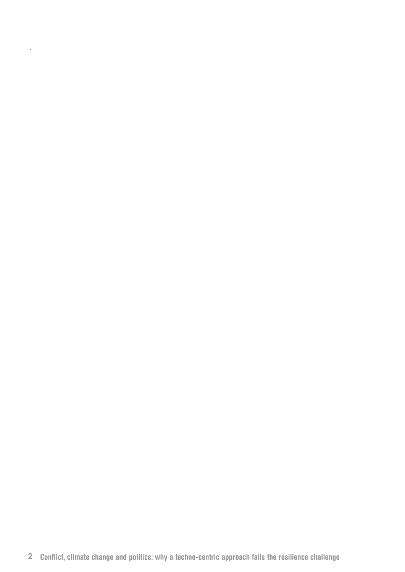**Conflict, climate change and politics: why a techno-centric approach fails the resilience challenge**

.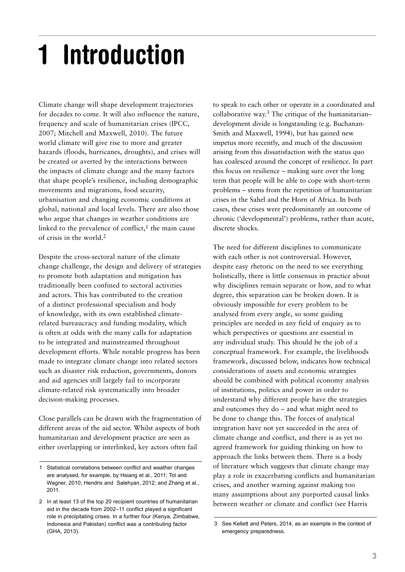# **1 Introduction**

Climate change will shape development trajectories for decades to come. It will also influence the nature, frequency and scale of humanitarian crises (IPCC, 2007; Mitchell and Maxwell, 2010). The future world climate will give rise to more and greater hazards (floods, hurricanes, droughts), and crises will be created or averted by the interactions between the impacts of climate change and the many factors that shape people's resilience, including demographic movements and migrations, food security, urbanisation and changing economic conditions at global, national and local levels. There are also those who argue that changes in weather conditions are linked to the prevalence of conflict, $<sup>1</sup>$  the main cause</sup> of crisis in the world.2

Despite the cross-sectoral nature of the climate change challenge, the design and delivery of strategies to promote both adaptation and mitigation has traditionally been confined to sectoral activities and actors. This has contributed to the creation of a distinct professional specialism and body of knowledge, with its own established climaterelated bureaucracy and funding modality, which is often at odds with the many calls for adaptation to be integrated and mainstreamed throughout development efforts. While notable progress has been made to integrate climate change into related sectors such as disaster risk reduction, governments, donors and aid agencies still largely fail to incorporate climate-related risk systematically into broader decision-making processes.

Close parallels can be drawn with the fragmentation of different areas of the aid sector. Whilst aspects of both humanitarian and development practice are seen as either overlapping or interlinked, key actors often fail

to speak to each other or operate in a coordinated and collaborative way.3 The critique of the humanitarian– development divide is longstanding (e.g. Buchanan-Smith and Maxwell, 1994), but has gained new impetus more recently, and much of the discussion arising from this dissatisfaction with the status quo has coalesced around the concept of resilience. In part this focus on resilience – making sure over the long term that people will be able to cope with short-term problems – stems from the repetition of humanitarian crises in the Sahel and the Horn of Africa. In both cases, these crises were predominantly an outcome of chronic ('developmental') problems, rather than acute, discrete shocks.

The need for different disciplines to communicate with each other is not controversial. However, despite easy rhetoric on the need to see everything holistically, there is little consensus in practice about why disciplines remain separate or how, and to what degree, this separation can be broken down. It is obviously impossible for every problem to be analysed from every angle, so some guiding principles are needed in any field of enquiry as to which perspectives or questions are essential in any individual study. This should be the job of a conceptual framework. For example, the livelihoods framework, discussed below, indicates how technical considerations of assets and economic strategies should be combined with political economy analysis of institutions, politics and power in order to understand why different people have the strategies and outcomes they do – and what might need to be done to change this. The forces of analytical integration have not yet succeeded in the area of climate change and conflict, and there is as yet no agreed framework for guiding thinking on how to approach the links between them. There is a body of literature which suggests that climate change may play a role in exacerbating conflicts and humanitarian crises, and another warning against making too many assumptions about any purported causal links between weather or climate and conflict (see Harris

<sup>1</sup> Statistical correlations between conflict and weather changes are analysed, for example, by Hsiang et al., 2011; Tol and Wagner, 2010; Hendrix and Salehyan, 2012; and Zhang et al., 2011.

<sup>2</sup> In at least 13 of the top 20 recipient countries of humanitarian aid in the decade from 2002–11 conflict played a significant role in precipitating crises. In a further four (Kenya, Zimbabwe, Indonesia and Pakistan) conflict was a contributing factor (GHA, 2013).

<sup>3</sup> See Kellett and Peters, 2014, as an example in the context of emergency preparedness.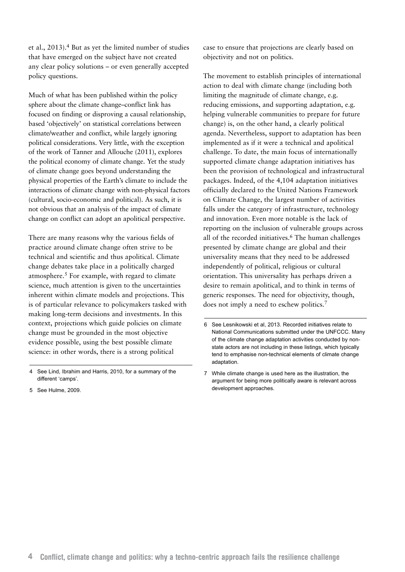et al., 2013).4 But as yet the limited number of studies that have emerged on the subject have not created any clear policy solutions – or even generally accepted policy questions.

Much of what has been published within the policy sphere about the climate change–conflict link has focused on finding or disproving a causal relationship, based 'objectively' on statistical correlations between climate/weather and conflict, while largely ignoring political considerations. Very little, with the exception of the work of Tanner and Allouche (2011), explores the political economy of climate change. Yet the study of climate change goes beyond understanding the physical properties of the Earth's climate to include the interactions of climate change with non-physical factors (cultural, socio-economic and political). As such, it is not obvious that an analysis of the impact of climate change on conflict can adopt an apolitical perspective.

There are many reasons why the various fields of practice around climate change often strive to be technical and scientific and thus apolitical. Climate change debates take place in a politically charged atmosphere. $5$  For example, with regard to climate science, much attention is given to the uncertainties inherent within climate models and projections. This is of particular relevance to policymakers tasked with making long-term decisions and investments. In this context, projections which guide policies on climate change must be grounded in the most objective evidence possible, using the best possible climate science: in other words, there is a strong political

case to ensure that projections are clearly based on objectivity and not on politics.

The movement to establish principles of international action to deal with climate change (including both limiting the magnitude of climate change, e.g. reducing emissions, and supporting adaptation, e.g. helping vulnerable communities to prepare for future change) is, on the other hand, a clearly political agenda. Nevertheless, support to adaptation has been implemented as if it were a technical and apolitical challenge. To date, the main focus of internationally supported climate change adaptation initiatives has been the provision of technological and infrastructural packages. Indeed, of the 4,104 adaptation initiatives officially declared to the United Nations Framework on Climate Change, the largest number of activities falls under the category of infrastructure, technology and innovation. Even more notable is the lack of reporting on the inclusion of vulnerable groups across all of the recorded initiatives.6 The human challenges presented by climate change are global and their universality means that they need to be addressed independently of political, religious or cultural orientation. This universality has perhaps driven a desire to remain apolitical, and to think in terms of generic responses. The need for objectivity, though, does not imply a need to eschew politics.<sup>7</sup>

<sup>4</sup> See Lind, Ibrahim and Harris, 2010, for a summary of the different 'camps'.

<sup>5</sup> See Hulme, 2009.

<sup>6</sup> See Lesnikowski et al, 2013. Recorded initiatives relate to National Communications submitted under the UNFCCC. Many of the climate change adaptation activities conducted by nonstate actors are not including in these listings, which typically tend to emphasise non-technical elements of climate change adaptation.

<sup>7</sup> While climate change is used here as the illustration, the argument for being more politically aware is relevant across development approaches.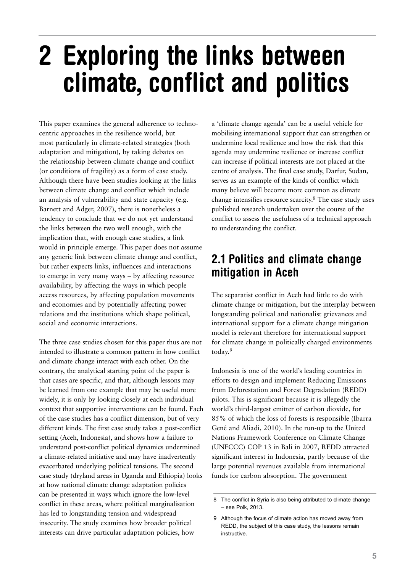## **2 Exploring the links between climate, conflict and politics**

This paper examines the general adherence to technocentric approaches in the resilience world, but most particularly in climate-related strategies (both adaptation and mitigation), by taking debates on the relationship between climate change and conflict (or conditions of fragility) as a form of case study. Although there have been studies looking at the links between climate change and conflict which include an analysis of vulnerability and state capacity (e.g. Barnett and Adger, 2007), there is nonetheless a tendency to conclude that we do not yet understand the links between the two well enough, with the implication that, with enough case studies, a link would in principle emerge. This paper does not assume any generic link between climate change and conflict, but rather expects links, influences and interactions to emerge in very many ways – by affecting resource availability, by affecting the ways in which people access resources, by affecting population movements and economies and by potentially affecting power relations and the institutions which shape political, social and economic interactions.

The three case studies chosen for this paper thus are not intended to illustrate a common pattern in how conflict and climate change interact with each other. On the contrary, the analytical starting point of the paper is that cases are specific, and that, although lessons may be learned from one example that may be useful more widely, it is only by looking closely at each individual context that supportive interventions can be found. Each of the case studies has a conflict dimension, but of very different kinds. The first case study takes a post-conflict setting (Aceh, Indonesia), and shows how a failure to understand post-conflict political dynamics undermined a climate-related initiative and may have inadvertently exacerbated underlying political tensions. The second case study (dryland areas in Uganda and Ethiopia) looks at how national climate change adaptation policies can be presented in ways which ignore the low-level conflict in these areas, where political marginalisation has led to longstanding tension and widespread insecurity. The study examines how broader political interests can drive particular adaptation policies, how

a 'climate change agenda' can be a useful vehicle for mobilising international support that can strengthen or undermine local resilience and how the risk that this agenda may undermine resilience or increase conflict can increase if political interests are not placed at the centre of analysis. The final case study, Darfur, Sudan, serves as an example of the kinds of conflict which many believe will become more common as climate change intensifies resource scarcity.8 The case study uses published research undertaken over the course of the conflict to assess the usefulness of a technical approach to understanding the conflict.

#### **2.1 Politics and climate change mitigation in Aceh**

The separatist conflict in Aceh had little to do with climate change or mitigation, but the interplay between longstanding political and nationalist grievances and international support for a climate change mitigation model is relevant therefore for international support for climate change in politically charged environments today.9

Indonesia is one of the world's leading countries in efforts to design and implement Reducing Emissions from Deforestation and Forest Degradation (REDD) pilots. This is significant because it is allegedly the world's third-largest emitter of carbon dioxide, for 85% of which the loss of forests is responsible (Ibarra Gené and Aliadi, 2010). In the run-up to the United Nations Framework Conference on Climate Change (UNFCCC) COP 13 in Bali in 2007, REDD attracted significant interest in Indonesia, partly because of the large potential revenues available from international funds for carbon absorption. The government

<sup>8</sup> The conflict in Syria is also being attributed to climate change – see Polk, 2013.

<sup>9</sup> Although the focus of climate action has moved away from REDD, the subject of this case study, the lessons remain instructive.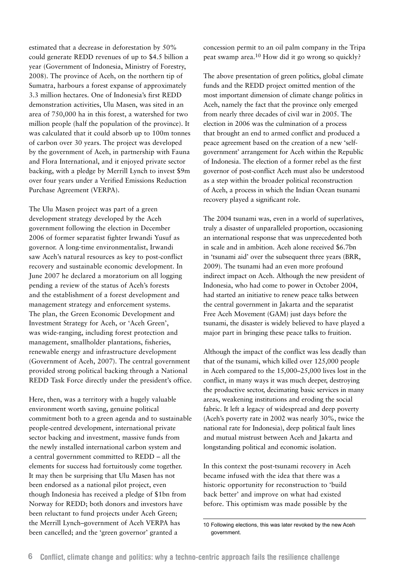estimated that a decrease in deforestation by 50% could generate REDD revenues of up to \$4.5 billion a year (Government of Indonesia, Ministry of Forestry, 2008). The province of Aceh, on the northern tip of Sumatra, harbours a forest expanse of approximately 3.3 million hectares. One of Indonesia's first REDD demonstration activities, Ulu Masen, was sited in an area of 750,000 ha in this forest, a watershed for two million people (half the population of the province). It was calculated that it could absorb up to 100m tonnes of carbon over 30 years. The project was developed by the government of Aceh, in partnership with Fauna and Flora International, and it enjoyed private sector backing, with a pledge by Merrill Lynch to invest \$9m over four years under a Verified Emissions Reduction Purchase Agreement (VERPA).

The Ulu Masen project was part of a green development strategy developed by the Aceh government following the election in December 2006 of former separatist fighter Irwandi Yusuf as governor. A long-time environmentalist, Irwandi saw Aceh's natural resources as key to post-conflict recovery and sustainable economic development. In June 2007 he declared a moratorium on all logging pending a review of the status of Aceh's forests and the establishment of a forest development and management strategy and enforcement systems. The plan, the Green Economic Development and Investment Strategy for Aceh, or 'Aceh Green', was wide-ranging, including forest protection and management, smallholder plantations, fisheries, renewable energy and infrastructure development (Government of Aceh, 2007). The central government provided strong political backing through a National REDD Task Force directly under the president's office.

Here, then, was a territory with a hugely valuable environment worth saving, genuine political commitment both to a green agenda and to sustainable people-centred development, international private sector backing and investment, massive funds from the newly installed international carbon system and a central government committed to REDD – all the elements for success had fortuitously come together. It may then be surprising that Ulu Masen has not been endorsed as a national pilot project, even though Indonesia has received a pledge of \$1bn from Norway for REDD; both donors and investors have been reluctant to fund projects under Aceh Green; the Merrill Lynch–government of Aceh VERPA has been cancelled; and the 'green governor' granted a

concession permit to an oil palm company in the Tripa peat swamp area.10 How did it go wrong so quickly?

The above presentation of green politics, global climate funds and the REDD project omitted mention of the most important dimension of climate change politics in Aceh, namely the fact that the province only emerged from nearly three decades of civil war in 2005. The election in 2006 was the culmination of a process that brought an end to armed conflict and produced a peace agreement based on the creation of a new 'selfgovernment' arrangement for Aceh within the Republic of Indonesia. The election of a former rebel as the first governor of post-conflict Aceh must also be understood as a step within the broader political reconstruction of Aceh, a process in which the Indian Ocean tsunami recovery played a significant role.

The 2004 tsunami was, even in a world of superlatives, truly a disaster of unparalleled proportion, occasioning an international response that was unprecedented both in scale and in ambition. Aceh alone received \$6.7bn in 'tsunami aid' over the subsequent three years (BRR, 2009). The tsunami had an even more profound indirect impact on Aceh. Although the new president of Indonesia, who had come to power in October 2004, had started an initiative to renew peace talks between the central government in Jakarta and the separatist Free Aceh Movement (GAM) just days before the tsunami, the disaster is widely believed to have played a major part in bringing these peace talks to fruition.

Although the impact of the conflict was less deadly than that of the tsunami, which killed over 125,000 people in Aceh compared to the 15,000–25,000 lives lost in the conflict, in many ways it was much deeper, destroying the productive sector, decimating basic services in many areas, weakening institutions and eroding the social fabric. It left a legacy of widespread and deep poverty (Aceh's poverty rate in 2002 was nearly 30%, twice the national rate for Indonesia), deep political fault lines and mutual mistrust between Aceh and Jakarta and longstanding political and economic isolation.

In this context the post-tsunami recovery in Aceh became infused with the idea that there was a historic opportunity for reconstruction to 'build back better' and improve on what had existed before. This optimism was made possible by the

10 Following elections, this was later revoked by the new Aceh government.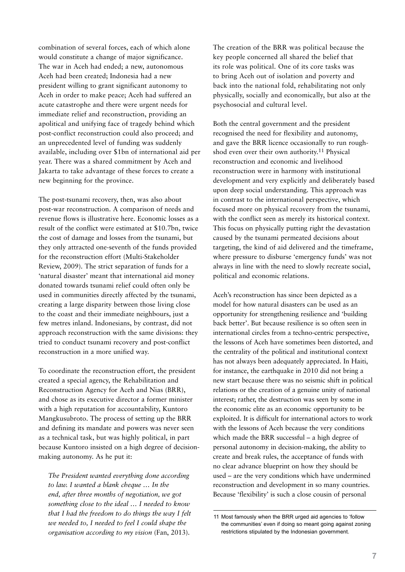combination of several forces, each of which alone would constitute a change of major significance. The war in Aceh had ended; a new, autonomous Aceh had been created; Indonesia had a new president willing to grant significant autonomy to Aceh in order to make peace; Aceh had suffered an acute catastrophe and there were urgent needs for immediate relief and reconstruction, providing an apolitical and unifying face of tragedy behind which post-conflict reconstruction could also proceed; and an unprecedented level of funding was suddenly available, including over \$1bn of international aid per year. There was a shared commitment by Aceh and Jakarta to take advantage of these forces to create a new beginning for the province.

The post-tsunami recovery, then, was also about post-war reconstruction. A comparison of needs and revenue flows is illustrative here. Economic losses as a result of the conflict were estimated at \$10.7bn, twice the cost of damage and losses from the tsunami, but they only attracted one-seventh of the funds provided for the reconstruction effort (Multi-Stakeholder Review, 2009). The strict separation of funds for a 'natural disaster' meant that international aid money donated towards tsunami relief could often only be used in communities directly affected by the tsunami, creating a large disparity between those living close to the coast and their immediate neighbours, just a few metres inland. Indonesians, by contrast, did not approach reconstruction with the same divisions: they tried to conduct tsunami recovery and post-conflict reconstruction in a more unified way.

To coordinate the reconstruction effort, the president created a special agency, the Rehabilitation and Reconstruction Agency for Aceh and Nias (BRR), and chose as its executive director a former minister with a high reputation for accountability, Kuntoro Mangkusubroto. The process of setting up the BRR and defining its mandate and powers was never seen as a technical task, but was highly political, in part because Kuntoro insisted on a high degree of decisionmaking autonomy. As he put it:

*The President wanted everything done according to law. I wanted a blank cheque … In the end, after three months of negotiation, we got something close to the ideal … I needed to know that I had the freedom to do things the way I felt we needed to, I needed to feel I could shape the organisation according to my vision* (Fan, 2013).

The creation of the BRR was political because the key people concerned all shared the belief that its role was political. One of its core tasks was to bring Aceh out of isolation and poverty and back into the national fold, rehabilitating not only physically, socially and economically, but also at the psychosocial and cultural level.

Both the central government and the president recognised the need for flexibility and autonomy, and gave the BRR licence occasionally to run roughshod even over their own authority.11 Physical reconstruction and economic and livelihood reconstruction were in harmony with institutional development and very explicitly and deliberately based upon deep social understanding. This approach was in contrast to the international perspective, which focused more on physical recovery from the tsunami, with the conflict seen as merely its historical context. This focus on physically putting right the devastation caused by the tsunami permeated decisions about targeting, the kind of aid delivered and the timeframe, where pressure to disburse 'emergency funds' was not always in line with the need to slowly recreate social, political and economic relations.

Aceh's reconstruction has since been depicted as a model for how natural disasters can be used as an opportunity for strengthening resilience and 'building back better'. But because resilience is so often seen in international circles from a techno-centric perspective, the lessons of Aceh have sometimes been distorted, and the centrality of the political and institutional context has not always been adequately appreciated. In Haiti, for instance, the earthquake in 2010 did not bring a new start because there was no seismic shift in political relations or the creation of a genuine unity of national interest; rather, the destruction was seen by some in the economic elite as an economic opportunity to be exploited. It is difficult for international actors to work with the lessons of Aceh because the very conditions which made the BRR successful – a high degree of personal autonomy in decision-making, the ability to create and break rules, the acceptance of funds with no clear advance blueprint on how they should be used – are the very conditions which have undermined reconstruction and development in so many countries. Because 'flexibility' is such a close cousin of personal

<sup>11</sup> Most famously when the BRR urged aid agencies to 'follow the communities' even if doing so meant going against zoning restrictions stipulated by the Indonesian government.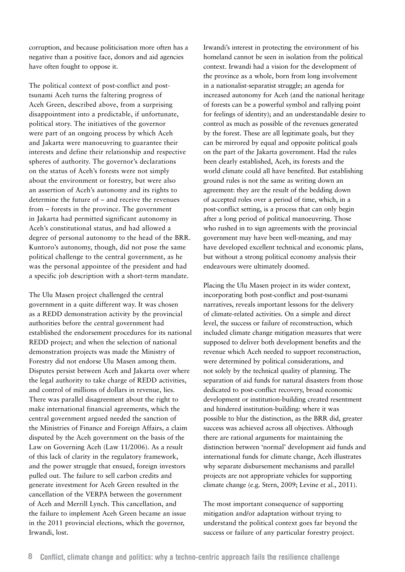corruption, and because politicisation more often has a negative than a positive face, donors and aid agencies have often fought to oppose it.

The political context of post-conflict and posttsunami Aceh turns the faltering progress of Aceh Green, described above, from a surprising disappointment into a predictable, if unfortunate, political story. The initiatives of the governor were part of an ongoing process by which Aceh and Jakarta were manoeuvring to guarantee their interests and define their relationship and respective spheres of authority. The governor's declarations on the status of Aceh's forests were not simply about the environment or forestry, but were also an assertion of Aceh's autonomy and its rights to determine the future of – and receive the revenues from – forests in the province. The government in Jakarta had permitted significant autonomy in Aceh's constitutional status, and had allowed a degree of personal autonomy to the head of the BRR. Kuntoro's autonomy, though, did not pose the same political challenge to the central government, as he was the personal appointee of the president and had a specific job description with a short-term mandate.

The Ulu Masen project challenged the central government in a quite different way. It was chosen as a REDD demonstration activity by the provincial authorities before the central government had established the endorsement procedures for its national REDD project; and when the selection of national demonstration projects was made the Ministry of Forestry did not endorse Ulu Masen among them. Disputes persist between Aceh and Jakarta over where the legal authority to take charge of REDD activities, and control of millions of dollars in revenue, lies. There was parallel disagreement about the right to make international financial agreements, which the central government argued needed the sanction of the Ministries of Finance and Foreign Affairs, a claim disputed by the Aceh government on the basis of the Law on Governing Aceh (Law 11/2006). As a result of this lack of clarity in the regulatory framework, and the power struggle that ensued, foreign investors pulled out. The failure to sell carbon credits and generate investment for Aceh Green resulted in the cancellation of the VERPA between the government of Aceh and Merrill Lynch. This cancellation, and the failure to implement Aceh Green became an issue in the 2011 provincial elections, which the governor, Irwandi, lost.

Irwandi's interest in protecting the environment of his homeland cannot be seen in isolation from the political context. Irwandi had a vision for the development of the province as a whole, born from long involvement in a nationalist-separatist struggle; an agenda for increased autonomy for Aceh (and the national heritage of forests can be a powerful symbol and rallying point for feelings of identity); and an understandable desire to control as much as possible of the revenues generated by the forest. These are all legitimate goals, but they can be mirrored by equal and opposite political goals on the part of the Jakarta government. Had the rules been clearly established, Aceh, its forests and the world climate could all have benefited. But establishing ground rules is not the same as writing down an agreement: they are the result of the bedding down of accepted roles over a period of time, which, in a post-conflict setting, is a process that can only begin after a long period of political manoeuvring. Those who rushed in to sign agreements with the provincial government may have been well-meaning, and may have developed excellent technical and economic plans, but without a strong political economy analysis their endeavours were ultimately doomed.

Placing the Ulu Masen project in its wider context, incorporating both post-conflict and post-tsunami narratives, reveals important lessons for the delivery of climate-related activities. On a simple and direct level, the success or failure of reconstruction, which included climate change mitigation measures that were supposed to deliver both development benefits and the revenue which Aceh needed to support reconstruction, were determined by political considerations, and not solely by the technical quality of planning. The separation of aid funds for natural disasters from those dedicated to post-conflict recovery, broad economic development or institution-building created resentment and hindered institution-building: where it was possible to blur the distinction, as the BRR did, greater success was achieved across all objectives. Although there are rational arguments for maintaining the distinction between 'normal' development aid funds and international funds for climate change, Aceh illustrates why separate disbursement mechanisms and parallel projects are not appropriate vehicles for supporting climate change (e.g. Stern, 2009; Levine et al., 2011).

The most important consequence of supporting mitigation and/or adaptation without trying to understand the political context goes far beyond the success or failure of any particular forestry project.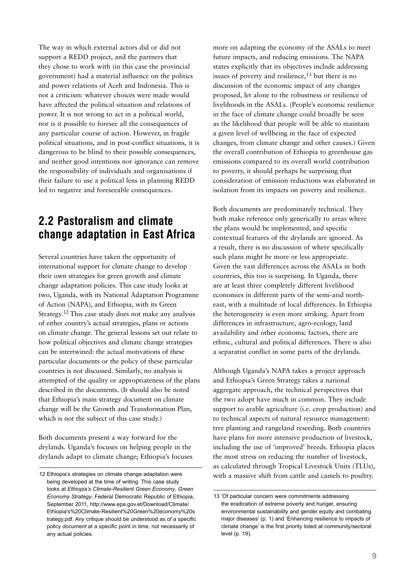The way in which external actors did or did not support a REDD project, and the partners that they chose to work with (in this case the provincial government) had a material influence on the politics and power relations of Aceh and Indonesia. This is not a criticism: whatever choices were made would have affected the political situation and relations of power. It is not wrong to act in a political world, nor is it possible to foresee all the consequences of any particular course of action. However, in fragile political situations, and in post-conflict situations, it is dangerous to be blind to their possible consequences, and neither good intentions nor ignorance can remove the responsibility of individuals and organisations if their failure to use a political lens in planning REDD led to negative and foreseeable consequences.

#### **2.2 Pastoralism and climate change adaptation in East Africa**

Several countries have taken the opportunity of international support for climate change to develop their own strategies for green growth and climate change adaptation policies. This case study looks at two, Uganda, with its National Adaptation Programme of Action (NAPA), and Ethiopia, with its Green Strategy.12 This case study does not make any analysis of either country's actual strategies, plans or actions on climate change. The general lessons set out relate to how political objectives and climate change strategies can be intertwined: the actual motivations of these particular documents or the policy of these particular countries is not discussed. Similarly, no analysis is attempted of the quality or appropriateness of the plans described in the documents. (It should also be noted that Ethiopia's main strategy document on climate change will be the Growth and Transformation Plan, which is not the subject of this case study.)

Both documents present a way forward for the drylands. Uganda's focuses on helping people in the drylands adapt to climate change; Ethiopia's focuses

more on adapting the economy of the ASALs to meet future impacts, and reducing emissions. The NAPA states explicitly that its objectives include addressing issues of poverty and resilience,  $13$  but there is no discussion of the economic impact of any changes proposed, let alone to the robustness or resilience of livelihoods in the ASALs. (People's economic resilience in the face of climate change could broadly be seen as the likelihood that people will be able to maintain a given level of wellbeing in the face of expected changes, from climate change and other causes.) Given the overall contribution of Ethiopia to greenhouse gas emissions compared to its overall world contribution to poverty, it should perhaps be surprising that consideration of emission reductions was elaborated in isolation from its impacts on poverty and resilience.

Both documents are predominately technical. They both make reference only generically to areas where the plans would be implemented, and specific contextual features of the drylands are ignored. As a result, there is no discussion of where specifically such plans might be more or less appropriate. Given the vast differences across the ASALs in both countries, this too is surprising. In Uganda, there are at least three completely different livelihood economies in different parts of the semi-arid northeast, with a multitude of local differences. In Ethiopia the heterogeneity is even more striking. Apart from differences in infrastructure, agro-ecology, land availability and other economic factors, there are ethnic, cultural and political differences. There is also a separatist conflict in some parts of the drylands.

Although Uganda's NAPA takes a project approach and Ethiopia's Green Strategy takes a national aggregate approach, the technical perspectives that the two adopt have much in common. They include support to arable agriculture (i.e. crop production) and to technical aspects of natural resource management: tree planting and rangeland reseeding. Both countries have plans for more intensive production of livestock, including the use of 'improved' breeds. Ethiopia places the most stress on reducing the number of livestock, as calculated through Tropical Livestock Units (TLUs), 12 Ethiopia's strategies on climate change adaptation were with a massive shift from cattle and camels to poultry.

being developed at the time of writing. This case study looks at *Ethiopia's Climate-Resilient Green Economy*, *Green Economy Strategy*, Federal Democratic Republic of Ethiopia, September 2011, http://www.epa.gov.et/Download/Climate/ Ethiopia's%20Climate-Resilient%20Green%20economy%20s trategy.pdf. Any critique should be understood as of a specific policy *document* at a specific point in time, not necessarily of any actual policies.

<sup>13 &#</sup>x27;Of particular concern were commitments addressing the eradication of extreme poverty and hunger, ensuring environmental sustainability and gender equity and combating major diseases' (p. 1) and 'Enhancing resilience to impacts of climate change' is the first priority listed at community/sectoral level (p. 19).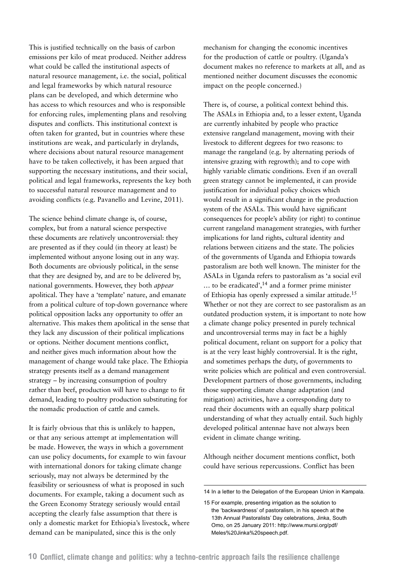This is justified technically on the basis of carbon emissions per kilo of meat produced. Neither address what could be called the institutional aspects of natural resource management, i.e. the social, political and legal frameworks by which natural resource plans can be developed, and which determine who has access to which resources and who is responsible for enforcing rules, implementing plans and resolving disputes and conflicts. This institutional context is often taken for granted, but in countries where these institutions are weak, and particularly in drylands, where decisions about natural resource management have to be taken collectively, it has been argued that supporting the necessary institutions, and their social, political and legal frameworks, represents the key both to successful natural resource management and to avoiding conflicts (e.g. Pavanello and Levine, 2011).

The science behind climate change is, of course, complex, but from a natural science perspective these documents are relatively uncontroversial: they are presented as if they could (in theory at least) be implemented without anyone losing out in any way. Both documents are obviously political, in the sense that they are designed by, and are to be delivered by, national governments. However, they both *appear*  apolitical. They have a 'template' nature, and emanate from a political culture of top-down governance where political opposition lacks any opportunity to offer an alternative. This makes them apolitical in the sense that they lack any discussion of their political implications or options. Neither document mentions conflict, and neither gives much information about how the management of change would take place. The Ethiopia strategy presents itself as a demand management strategy – by increasing consumption of poultry rather than beef, production will have to change to fit demand, leading to poultry production substituting for the nomadic production of cattle and camels.

It is fairly obvious that this is unlikely to happen, or that any serious attempt at implementation will be made. However, the ways in which a government can use policy documents, for example to win favour with international donors for taking climate change seriously, may not always be determined by the feasibility or seriousness of what is proposed in such documents. For example, taking a document such as the Green Economy Strategy seriously would entail accepting the clearly false assumption that there is only a domestic market for Ethiopia's livestock, where demand can be manipulated, since this is the only

mechanism for changing the economic incentives for the production of cattle or poultry. (Uganda's document makes no reference to markets at all, and as mentioned neither document discusses the economic impact on the people concerned.)

There is, of course, a political context behind this. The ASALs in Ethiopia and, to a lesser extent, Uganda are currently inhabited by people who practice extensive rangeland management, moving with their livestock to different degrees for two reasons: to manage the rangeland (e.g. by alternating periods of intensive grazing with regrowth); and to cope with highly variable climatic conditions. Even if an overall green strategy cannot be implemented, it can provide justification for individual policy choices which would result in a significant change in the production system of the ASALs. This would have significant consequences for people's ability (or right) to continue current rangeland management strategies, with further implications for land rights, cultural identity and relations between citizens and the state. The policies of the governments of Uganda and Ethiopia towards pastoralism are both well known. The minister for the ASALs in Uganda refers to pastoralism as 'a social evil  $\ldots$  to be eradicated',<sup>14</sup> and a former prime minister of Ethiopia has openly expressed a similar attitude.15 Whether or not they are correct to see pastoralism as an outdated production system, it is important to note how a climate change policy presented in purely technical and uncontroversial terms may in fact be a highly political document, reliant on support for a policy that is at the very least highly controversial. It is the right, and sometimes perhaps the duty, of governments to write policies which are political and even controversial. Development partners of those governments, including those supporting climate change adaptation (and mitigation) activities, have a corresponding duty to read their documents with an equally sharp political understanding of what they actually entail. Such highly developed political antennae have not always been evident in climate change writing.

Although neither document mentions conflict, both could have serious repercussions. Conflict has been

14 In a letter to the Delegation of the European Union in Kampala.

<sup>15</sup> For example, presenting irrigation as the solution to the 'backwardness' of pastoralism, in his speech at the 13th Annual Pastoralists' Day celebrations, Jinka, South Omo, on 25 January 2011: http://www.mursi.org/pdf/ Meles%20Jinka%20speech.pdf.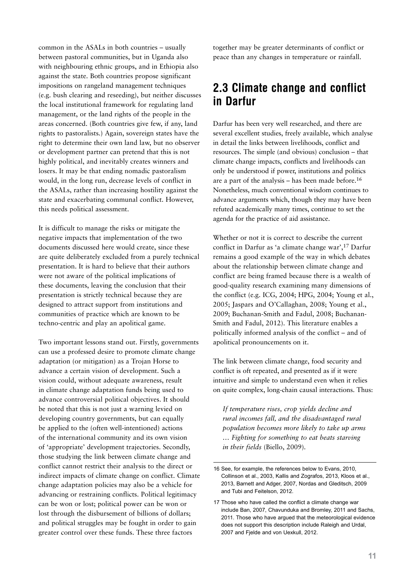common in the ASALs in both countries – usually between pastoral communities, but in Uganda also with neighbouring ethnic groups, and in Ethiopia also against the state. Both countries propose significant impositions on rangeland management techniques (e.g. bush clearing and reseeding), but neither discusses the local institutional framework for regulating land management, or the land rights of the people in the areas concerned. (Both countries give few, if any, land rights to pastoralists.) Again, sovereign states have the right to determine their own land law, but no observer or development partner can pretend that this is not highly political, and inevitably creates winners and losers. It may be that ending nomadic pastoralism would, in the long run, decrease levels of conflict in the ASALs, rather than increasing hostility against the state and exacerbating communal conflict. However, this needs political assessment.

It is difficult to manage the risks or mitigate the negative impacts that implementation of the two documents discussed here would create, since these are quite deliberately excluded from a purely technical presentation. It is hard to believe that their authors were not aware of the political implications of these documents, leaving the conclusion that their presentation is strictly technical because they are designed to attract support from institutions and communities of practice which are known to be techno-centric and play an apolitical game.

Two important lessons stand out. Firstly, governments can use a professed desire to promote climate change adaptation (or mitigation) as a Trojan Horse to advance a certain vision of development. Such a vision could, without adequate awareness, result in climate change adaptation funds being used to advance controversial political objectives. It should be noted that this is not just a warning levied on developing country governments, but can equally be applied to the (often well-intentioned) actions of the international community and its own vision of 'appropriate' development trajectories. Secondly, those studying the link between climate change and conflict cannot restrict their analysis to the direct or indirect impacts of climate change on conflict. Climate change adaptation policies may also be a vehicle for advancing or restraining conflicts. Political legitimacy can be won or lost; political power can be won or lost through the disbursement of billions of dollars; and political struggles may be fought in order to gain greater control over these funds. These three factors

together may be greater determinants of conflict or peace than any changes in temperature or rainfall.

#### **2.3 Climate change and conflict in Darfur**

Darfur has been very well researched, and there are several excellent studies, freely available, which analyse in detail the links between livelihoods, conflict and resources. The simple (and obvious) conclusion – that climate change impacts, conflicts and livelihoods can only be understood if power, institutions and politics are a part of the analysis – has been made before.<sup>16</sup> Nonetheless, much conventional wisdom continues to advance arguments which, though they may have been refuted academically many times, continue to set the agenda for the practice of aid assistance.

Whether or not it is correct to describe the current conflict in Darfur as 'a climate change war',17 Darfur remains a good example of the way in which debates about the relationship between climate change and conflict are being framed because there is a wealth of good-quality research examining many dimensions of the conflict (e.g. ICG, 2004; HPG, 2004; Young et al., 2005; Jaspars and O'Callaghan, 2008; Young et al., 2009; Buchanan-Smith and Fadul, 2008; Buchanan-Smith and Fadul, 2012). This literature enables a politically informed analysis of the conflict – and of apolitical pronouncements on it.

The link between climate change, food security and conflict is oft repeated, and presented as if it were intuitive and simple to understand even when it relies on quite complex, long-chain causal interactions. Thus:

*If temperature rises, crop yields decline and rural incomes fall, and the disadvantaged rural population becomes more likely to take up arms … Fighting for something to eat beats starving in their fields* (Biello, 2009).

<sup>16</sup> See, for example, the references below to Evans, 2010, Collinson et al., 2003, Kallis and Zografos, 2013, Kloos et al., 2013, Barnett and Adger, 2007, Nordas and Gleditsch, 2009 and Tubi and Feitelson, 2012.

<sup>17</sup> Those who have called the conflict a climate change war include Ban, 2007, Chavunduka and Bromley, 2011 and Sachs, 2011. Those who have argued that the meteorological evidence does not support this description include Raleigh and Urdal, 2007 and Fjelde and von Uexkull, 2012.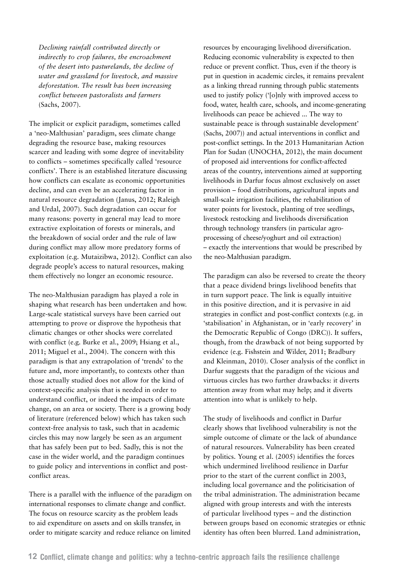*Declining rainfall contributed directly or indirectly to crop failures, the encroachment of the desert into pasturelands, the decline of water and grassland for livestock, and massive deforestation. The result has been increasing conflict between pastoralists and farmers* (Sachs, 2007).

The implicit or explicit paradigm, sometimes called a 'neo-Malthusian' paradigm, sees climate change degrading the resource base, making resources scarcer and leading with some degree of inevitability to conflicts – sometimes specifically called 'resource conflicts'. There is an established literature discussing how conflicts can escalate as economic opportunities decline, and can even be an accelerating factor in natural resource degradation (Janus, 2012; Raleigh and Urdal, 2007). Such degradation can occur for many reasons: poverty in general may lead to more extractive exploitation of forests or minerals, and the breakdown of social order and the rule of law during conflict may allow more predatory forms of exploitation (e.g. Mutaizibwa, 2012). Conflict can also degrade people's access to natural resources, making them effectively no longer an economic resource.

The neo-Malthusian paradigm has played a role in shaping what research has been undertaken and how. Large-scale statistical surveys have been carried out attempting to prove or disprove the hypothesis that climatic changes or other shocks were correlated with conflict (e.g. Burke et al., 2009; Hsiang et al., 2011; Miguel et al., 2004). The concern with this paradigm is that any extrapolation of 'trends' to the future and, more importantly, to contexts other than those actually studied does not allow for the kind of context-specific analysis that is needed in order to understand conflict, or indeed the impacts of climate change, on an area or society. There is a growing body of literature (referenced below) which has taken such context-free analysis to task, such that in academic circles this may now largely be seen as an argument that has safely been put to bed. Sadly, this is not the case in the wider world, and the paradigm continues to guide policy and interventions in conflict and postconflict areas.

There is a parallel with the influence of the paradigm on international responses to climate change and conflict. The focus on resource scarcity as the problem leads to aid expenditure on assets and on skills transfer, in order to mitigate scarcity and reduce reliance on limited

resources by encouraging livelihood diversification. Reducing economic vulnerability is expected to then reduce or prevent conflict. Thus, even if the theory is put in question in academic circles, it remains prevalent as a linking thread running through public statements used to justify policy ('[o]nly with improved access to food, water, health care, schools, and income-generating livelihoods can peace be achieved ... The way to sustainable peace is through sustainable development' (Sachs, 2007)) and actual interventions in conflict and post-conflict settings. In the 2013 Humanitarian Action Plan for Sudan (UNOCHA, 2012), the main document of proposed aid interventions for conflict-affected areas of the country, interventions aimed at supporting livelihoods in Darfur focus almost exclusively on asset provision – food distributions, agricultural inputs and small-scale irrigation facilities, the rehabilitation of water points for livestock, planting of tree seedlings, livestock restocking and livelihoods diversification through technology transfers (in particular agroprocessing of cheese/yoghurt and oil extraction) – exactly the interventions that would be prescribed by the neo-Malthusian paradigm.

The paradigm can also be reversed to create the theory that a peace dividend brings livelihood benefits that in turn support peace. The link is equally intuitive in this positive direction, and it is pervasive in aid strategies in conflict and post-conflict contexts (e.g. in 'stabilisation' in Afghanistan, or in 'early recovery' in the Democratic Republic of Congo (DRC)). It suffers, though, from the drawback of not being supported by evidence (e.g. Fishstein and Wilder, 2011; Bradbury and Kleinman, 2010). Closer analysis of the conflict in Darfur suggests that the paradigm of the vicious and virtuous circles has two further drawbacks: it diverts attention away from what may help; and it diverts attention into what is unlikely to help.

The study of livelihoods and conflict in Darfur clearly shows that livelihood vulnerability is not the simple outcome of climate or the lack of abundance of natural resources. Vulnerability has been created by politics. Young et al. (2005) identifies the forces which undermined livelihood resilience in Darfur prior to the start of the current conflict in 2003, including local governance and the politicisation of the tribal administration. The administration became aligned with group interests and with the interests of particular livelihood types – and the distinction between groups based on economic strategies or ethnic identity has often been blurred. Land administration,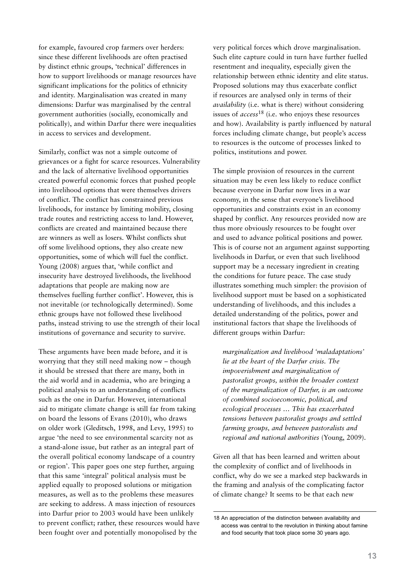for example, favoured crop farmers over herders: since these different livelihoods are often practised by distinct ethnic groups, 'technical' differences in how to support livelihoods or manage resources have significant implications for the politics of ethnicity and identity. Marginalisation was created in many dimensions: Darfur was marginalised by the central government authorities (socially, economically and politically), and within Darfur there were inequalities in access to services and development.

Similarly, conflict was not a simple outcome of grievances or a fight for scarce resources. Vulnerability and the lack of alternative livelihood opportunities created powerful economic forces that pushed people into livelihood options that were themselves drivers of conflict. The conflict has constrained previous livelihoods, for instance by limiting mobility, closing trade routes and restricting access to land. However, conflicts are created and maintained because there are winners as well as losers. Whilst conflicts shut off some livelihood options, they also create new opportunities, some of which will fuel the conflict. Young (2008) argues that, 'while conflict and insecurity have destroyed livelihoods, the livelihood adaptations that people are making now are themselves fuelling further conflict'. However, this is not inevitable (or technologically determined). Some ethnic groups have not followed these livelihood paths, instead striving to use the strength of their local institutions of governance and security to survive.

These arguments have been made before, and it is worrying that they still need making now – though it should be stressed that there are many, both in the aid world and in academia, who are bringing a political analysis to an understanding of conflicts such as the one in Darfur. However, international aid to mitigate climate change is still far from taking on board the lessons of Evans (2010), who draws on older work (Gleditsch, 1998, and Levy, 1995) to argue 'the need to see environmental scarcity not as a stand-alone issue, but rather as an integral part of the overall political economy landscape of a country or region'. This paper goes one step further, arguing that this same 'integral' political analysis must be applied equally to proposed solutions or mitigation measures, as well as to the problems these measures are seeking to address. A mass injection of resources into Darfur prior to 2003 would have been unlikely to prevent conflict; rather, these resources would have been fought over and potentially monopolised by the

very political forces which drove marginalisation. Such elite capture could in turn have further fuelled resentment and inequality, especially given the relationship between ethnic identity and elite status. Proposed solutions may thus exacerbate conflict if resources are analysed only in terms of their *availability* (i.e. what is there) without considering issues of *access*18 (i.e. who enjoys these resources and how). Availability is partly influenced by natural forces including climate change, but people's access to resources is the outcome of processes linked to politics, institutions and power.

The simple provision of resources in the current situation may be even less likely to reduce conflict because everyone in Darfur now lives in a war economy, in the sense that everyone's livelihood opportunities and constraints exist in an economy shaped by conflict. Any resources provided now are thus more obviously resources to be fought over and used to advance political positions and power. This is of course not an argument against supporting livelihoods in Darfur, or even that such livelihood support may be a necessary ingredient in creating the conditions for future peace. The case study illustrates something much simpler: the provision of livelihood support must be based on a sophisticated understanding of livelihoods, and this includes a detailed understanding of the politics, power and institutional factors that shape the livelihoods of different groups within Darfur:

*marginalization and livelihood 'maladaptations' lie at the heart of the Darfur crisis. The impoverishment and marginalization of pastoralist groups, within the broader context of the marginalization of Darfur, is an outcome of combined socioeconomic, political, and ecological processes … This has exacerbated tensions between pastoralist groups and settled farming groups, and between pastoralists and regional and national authorities* (Young, 2009).

Given all that has been learned and written about the complexity of conflict and of livelihoods in conflict, why do we see a marked step backwards in the framing and analysis of the complicating factor of climate change? It seems to be that each new

<sup>18</sup> An appreciation of the distinction between availability and access was central to the revolution in thinking about famine and food security that took place some 30 years ago.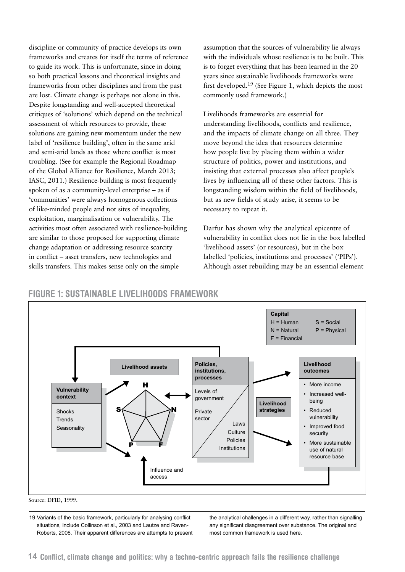discipline or community of practice develops its own frameworks and creates for itself the terms of reference to guide its work. This is unfortunate, since in doing so both practical lessons and theoretical insights and frameworks from other disciplines and from the past are lost. Climate change is perhaps not alone in this. Despite longstanding and well-accepted theoretical critiques of 'solutions' which depend on the technical assessment of which resources to provide, these solutions are gaining new momentum under the new label of 'resilience building', often in the same arid and semi-arid lands as those where conflict is most troubling. (See for example the Regional Roadmap of the Global Alliance for Resilience, March 2013; IASC, 2011.) Resilience-building is most frequently spoken of as a community-level enterprise – as if 'communities' were always homogenous collections of like-minded people and not sites of inequality, exploitation, marginalisation or vulnerability. The activities most often associated with resilience-building are similar to those proposed for supporting climate change adaptation or addressing resource scarcity in conflict – asset transfers, new technologies and skills transfers. This makes sense only on the simple

assumption that the sources of vulnerability lie always with the individuals whose resilience is to be built. This is to forget everything that has been learned in the 20 years since sustainable livelihoods frameworks were first developed.19 (See Figure 1, which depicts the most commonly used framework.)

Livelihoods frameworks are essential for understanding livelihoods, conflicts and resilience, and the impacts of climate change on all three. They move beyond the idea that resources determine how people live by placing them within a wider structure of politics, power and institutions, and insisting that external processes also affect people's lives by influencing all of these other factors. This is longstanding wisdom within the field of livelihoods, but as new fields of study arise, it seems to be necessary to repeat it.

Darfur has shown why the analytical epicentre of vulnerability in conflict does not lie in the box labelled 'livelihood assets' (or resources), but in the box labelled 'policies, institutions and processes' ('PIPs'). Although asset rebuilding may be an essential element

#### **Figure 1: Sustainable livelihoods framework**





19 Variants of the basic framework, particularly for analysing conflict situations, include Collinson et al., 2003 and Lautze and Raven-Roberts, 2006. Their apparent differences are attempts to present

the analytical challenges in a different way, rather than signalling any significant disagreement over substance. The original and most common framework is used here.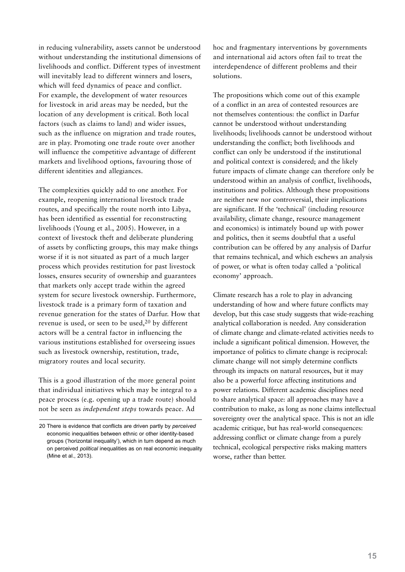in reducing vulnerability, assets cannot be understood without understanding the institutional dimensions of livelihoods and conflict. Different types of investment will inevitably lead to different winners and losers, which will feed dynamics of peace and conflict. For example, the development of water resources for livestock in arid areas may be needed, but the location of any development is critical. Both local factors (such as claims to land) and wider issues, such as the influence on migration and trade routes, are in play. Promoting one trade route over another will influence the competitive advantage of different markets and livelihood options, favouring those of different identities and allegiances.

The complexities quickly add to one another. For example, reopening international livestock trade routes, and specifically the route north into Libya, has been identified as essential for reconstructing livelihoods (Young et al., 2005). However, in a context of livestock theft and deliberate plundering of assets by conflicting groups, this may make things worse if it is not situated as part of a much larger process which provides restitution for past livestock losses, ensures security of ownership and guarantees that markets only accept trade within the agreed system for secure livestock ownership. Furthermore, livestock trade is a primary form of taxation and revenue generation for the states of Darfur. How that revenue is used, or seen to be used,<sup>20</sup> by different actors will be a central factor in influencing the various institutions established for overseeing issues such as livestock ownership, restitution, trade, migratory routes and local security.

This is a good illustration of the more general point that individual initiatives which may be integral to a peace process (e.g. opening up a trade route) should not be seen as *independent steps* towards peace. Ad

hoc and fragmentary interventions by governments and international aid actors often fail to treat the interdependence of different problems and their solutions.

The propositions which come out of this example of a conflict in an area of contested resources are not themselves contentious: the conflict in Darfur cannot be understood without understanding livelihoods; livelihoods cannot be understood without understanding the conflict; both livelihoods and conflict can only be understood if the institutional and political context is considered; and the likely future impacts of climate change can therefore only be understood within an analysis of conflict, livelihoods, institutions and politics. Although these propositions are neither new nor controversial, their implications are significant. If the 'technical' (including resource availability, climate change, resource management and economics) is intimately bound up with power and politics, then it seems doubtful that a useful contribution can be offered by any analysis of Darfur that remains technical, and which eschews an analysis of power, or what is often today called a 'political economy' approach.

Climate research has a role to play in advancing understanding of how and where future conflicts may develop, but this case study suggests that wide-reaching analytical collaboration is needed. Any consideration of climate change and climate-related activities needs to include a significant political dimension. However, the importance of politics to climate change is reciprocal: climate change will not simply determine conflicts through its impacts on natural resources, but it may also be a powerful force affecting institutions and power relations. Different academic disciplines need to share analytical space: all approaches may have a contribution to make, as long as none claims intellectual sovereignty over the analytical space. This is not an idle academic critique, but has real-world consequences: addressing conflict or climate change from a purely technical, ecological perspective risks making matters worse, rather than better.

<sup>20</sup> There is evidence that conflicts are driven partly by *perceived* economic inequalities between ethnic or other identity-based groups ('horizontal inequality'), which in turn depend as much on perceived *political* inequalities as on real economic inequality (Mine et al., 2013).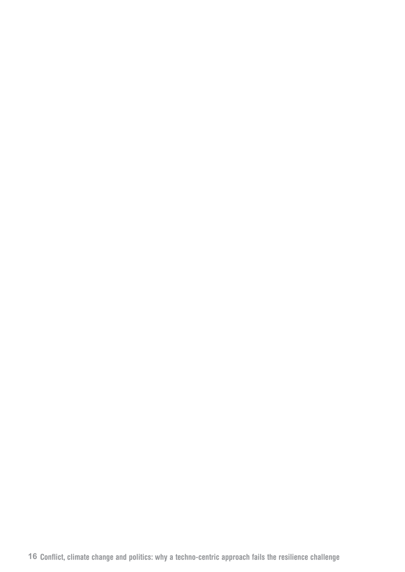**Conflict, climate change and politics: why a techno-centric approach fails the resilience challenge**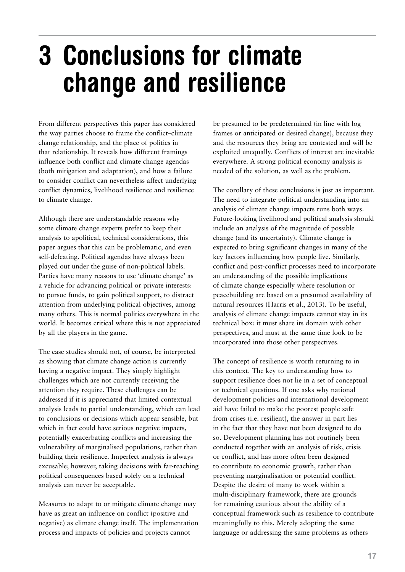## **3 Conclusions for climate change and resilience**

From different perspectives this paper has considered the way parties choose to frame the conflict–climate change relationship, and the place of politics in that relationship. It reveals how different framings influence both conflict and climate change agendas (both mitigation and adaptation), and how a failure to consider conflict can nevertheless affect underlying conflict dynamics, livelihood resilience and resilience to climate change.

Although there are understandable reasons why some climate change experts prefer to keep their analysis to apolitical, technical considerations, this paper argues that this can be problematic, and even self-defeating. Political agendas have always been played out under the guise of non-political labels. Parties have many reasons to use 'climate change' as a vehicle for advancing political or private interests: to pursue funds, to gain political support, to distract attention from underlying political objectives, among many others. This is normal politics everywhere in the world. It becomes critical where this is not appreciated by all the players in the game.

The case studies should not, of course, be interpreted as showing that climate change action is currently having a negative impact. They simply highlight challenges which are not currently receiving the attention they require. These challenges can be addressed if it is appreciated that limited contextual analysis leads to partial understanding, which can lead to conclusions or decisions which appear sensible, but which in fact could have serious negative impacts, potentially exacerbating conflicts and increasing the vulnerability of marginalised populations, rather than building their resilience. Imperfect analysis is always excusable; however, taking decisions with far-reaching political consequences based solely on a technical analysis can never be acceptable.

Measures to adapt to or mitigate climate change may have as great an influence on conflict (positive and negative) as climate change itself. The implementation process and impacts of policies and projects cannot

be presumed to be predetermined (in line with log frames or anticipated or desired change), because they and the resources they bring are contested and will be exploited unequally. Conflicts of interest are inevitable everywhere. A strong political economy analysis is needed of the solution, as well as the problem.

The corollary of these conclusions is just as important. The need to integrate political understanding into an analysis of climate change impacts runs both ways. Future-looking livelihood and political analysis should include an analysis of the magnitude of possible change (and its uncertainty). Climate change is expected to bring significant changes in many of the key factors influencing how people live. Similarly, conflict and post-conflict processes need to incorporate an understanding of the possible implications of climate change especially where resolution or peacebuilding are based on a presumed availability of natural resources (Harris et al., 2013). To be useful, analysis of climate change impacts cannot stay in its technical box: it must share its domain with other perspectives, and must at the same time look to be incorporated into those other perspectives.

The concept of resilience is worth returning to in this context. The key to understanding how to support resilience does not lie in a set of conceptual or technical questions. If one asks why national development policies and international development aid have failed to make the poorest people safe from crises (i.e. resilient), the answer in part lies in the fact that they have not been designed to do so. Development planning has not routinely been conducted together with an analysis of risk, crisis or conflict, and has more often been designed to contribute to economic growth, rather than preventing marginalisation or potential conflict. Despite the desire of many to work within a multi-disciplinary framework, there are grounds for remaining cautious about the ability of a conceptual framework such as resilience to contribute meaningfully to this. Merely adopting the same language or addressing the same problems as others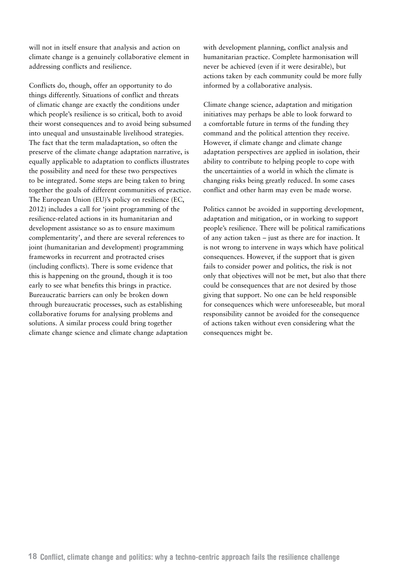will not in itself ensure that analysis and action on climate change is a genuinely collaborative element in addressing conflicts and resilience.

Conflicts do, though, offer an opportunity to do things differently. Situations of conflict and threats of climatic change are exactly the conditions under which people's resilience is so critical, both to avoid their worst consequences and to avoid being subsumed into unequal and unsustainable livelihood strategies. The fact that the term maladaptation, so often the preserve of the climate change adaptation narrative, is equally applicable to adaptation to conflicts illustrates the possibility and need for these two perspectives to be integrated. Some steps are being taken to bring together the goals of different communities of practice. The European Union (EU)'s policy on resilience (EC, 2012) includes a call for 'joint programming of the resilience-related actions in its humanitarian and development assistance so as to ensure maximum complementarity', and there are several references to joint (humanitarian and development) programming frameworks in recurrent and protracted crises (including conflicts). There is some evidence that this is happening on the ground, though it is too early to see what benefits this brings in practice. Bureaucratic barriers can only be broken down through bureaucratic processes, such as establishing collaborative forums for analysing problems and solutions. A similar process could bring together climate change science and climate change adaptation

with development planning, conflict analysis and humanitarian practice. Complete harmonisation will never be achieved (even if it were desirable), but actions taken by each community could be more fully informed by a collaborative analysis.

Climate change science, adaptation and mitigation initiatives may perhaps be able to look forward to a comfortable future in terms of the funding they command and the political attention they receive. However, if climate change and climate change adaptation perspectives are applied in isolation, their ability to contribute to helping people to cope with the uncertainties of a world in which the climate is changing risks being greatly reduced. In some cases conflict and other harm may even be made worse.

Politics cannot be avoided in supporting development, adaptation and mitigation, or in working to support people's resilience. There will be political ramifications of any action taken – just as there are for inaction. It is not wrong to intervene in ways which have political consequences. However, if the support that is given fails to consider power and politics, the risk is not only that objectives will not be met, but also that there could be consequences that are not desired by those giving that support. No one can be held responsible for consequences which were unforeseeable, but moral responsibility cannot be avoided for the consequence of actions taken without even considering what the consequences might be.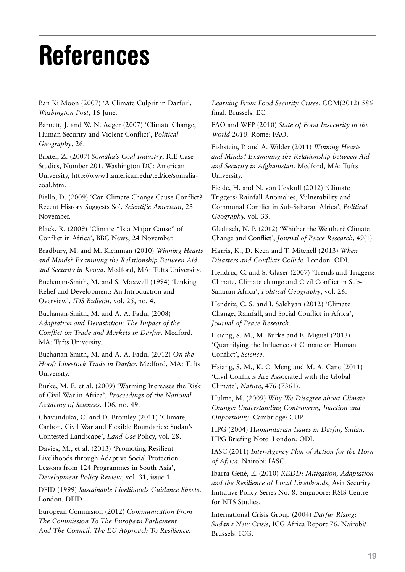### **References**

Ban Ki Moon (2007) 'A Climate Culprit in Darfur', *Washington Post*, 16 June.

Barnett, J. and W. N. Adger (2007) 'Climate Change, Human Security and Violent Conflict', P*olitical Geography*, 26.

Baxter, Z. (2007) *Somalia's Coal Industry*, ICE Case Studies, Number 201. Washington DC: American University, http://www1.american.edu/ted/ice/somaliacoal.htm.

Biello, D. (2009) 'Can Climate Change Cause Conflict? Recent History Suggests So', *Scientific American*, 23 November.

Black, R. (2009) 'Climate "Is a Major Cause" of Conflict in Africa', BBC News, 24 November.

Bradbury, M. and M. Kleinman (2010) *Winning Hearts and Minds? Examining the Relationship Between Aid and Security in Kenya*. Medford, MA: Tufts University.

Buchanan-Smith, M. and S. Maxwell (1994) 'Linking Relief and Development: An Introduction and Overview', *IDS Bulletin*, vol. 25, no. 4.

Buchanan-Smith, M. and A. A. Fadul (2008) *Adaptation and Devastation: The Impact of the Conflict on Trade and Markets in Darfur*. Medford, MA: Tufts University.

Buchanan-Smith, M. and A. A. Fadul (2012) *On the Hoof: Livestock Trade in Darfur*. Medford, MA: Tufts University.

Burke, M. E. et al. (2009) 'Warming Increases the Risk of Civil War in Africa', *Proceedings of the National Academy of Sciences*, 106, no. 49.

Chavunduka, C. and D. Bromley (2011) 'Climate, Carbon, Civil War and Flexible Boundaries: Sudan's Contested Landscape', *Land Use* Policy, vol. 28.

Davies, M., et al. (2013) 'Promoting Resilient Livelihoods through Adaptive Social Protection: Lessons from 124 Programmes in South Asia', *Development Policy Review*, vol. 31, issue 1.

DFID (1999) *Sustainable Livelihoods Guidance Sheets*. London. DFID.

European Commision (2012) *Communication From The Commission To The European Parliament And The Council. The EU Approach To Resilience:* 

*Learning From Food Security Crises*. COM(2012) 586 final. Brussels: EC.

FAO and WFP (2010) *State of Food Insecurity in the World 2010*. Rome: FAO.

Fishstein, P. and A. Wilder (2011) *Winning Hearts and Minds? Examining the Relationship between Aid and Security in Afghanistan*. Medford, MA: Tufts University.

Fjelde, H. and N. von Uexkull (2012) 'Climate Triggers: Rainfall Anomalies, Vulnerability and Communal Conflict in Sub-Saharan Africa', *Political Geography,* vol. 33.

Gleditsch, N. P. (2012) 'Whither the Weather? Climate Change and Conflict', *Journal of Peace Research*, 49(1).

Harris, K., D. Keen and T. Mitchell (2013) *When Disasters and Conflicts Collide.* London: ODI.

Hendrix, C. and S. Glaser (2007) 'Trends and Triggers: Climate, Climate change and Civil Conflict in Sub-Saharan Africa', *Political Geography*, vol. 26.

Hendrix, C. S. and I. Salehyan (2012) 'Climate Change, Rainfall, and Social Conflict in Africa', *Journal of Peace Research*.

Hsiang, S. M., M. Burke and E. Miguel (2013) 'Quantifying the Influence of Climate on Human Conflict', *Science*.

Hsiang, S. M., K. C. Meng and M. A. Cane (2011) 'Civil Conflicts Are Associated with the Global Climate', *Nature*, 476 (7361).

Hulme, M. (2009) *Why We Disagree about Climate Change: Understanding Controversy, Inaction and Opportunity*. Cambridge: CUP.

HPG (2004) H*umanitarian Issues in Darfur, Sudan*. HPG Briefing Note. London: ODI.

IASC (2011) *Inter-Agency Plan of Action for the Horn of Africa*. Nairobi: IASC.

Ibarra Gené, E. (2010) *REDD: Mitigation, Adaptation and the Resilience of Local Livelihoods*, Asia Security Initiative Policy Series No. 8. Singapore: RSIS Centre for NTS Studies.

International Crisis Group (2004) *Darfur Rising: Sudan's New Crisis*, ICG Africa Report 76. Nairobi/ Brussels: ICG.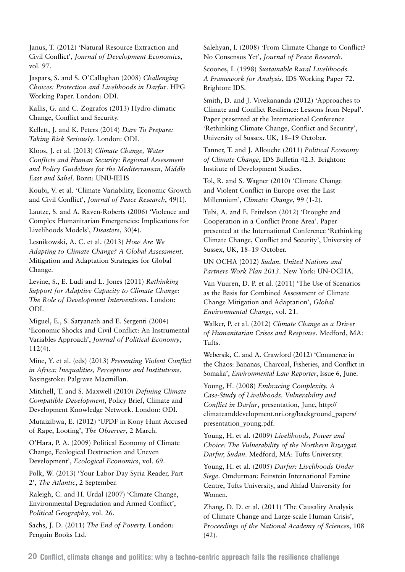Janus, T. (2012) 'Natural Resource Extraction and Civil Conflict', *Journal of Development Economics*, vol. 97.

Jaspars, S. and S. O'Callaghan (2008) *Challenging Choices: Protection and Livelihoods in Darfur*. HPG Working Paper. London: ODI.

Kallis, G. and C. Zografos (2013) Hydro-climatic Change, Conflict and Security.

Kellett, J. and K. Peters (2014) *Dare To Prepare: Taking Risk Seriously*. London: ODI.

Kloos, J. et al. (2013) *Climate Change, Water Conflicts and Human Security: Regional Assessment and Policy Guidelines for the Mediterranean, Middle East and Sahel*. Bonn: UNU-IEHS

Koubi, V. et al. 'Climate Variability, Economic Growth and Civil Conflict', *Journal of Peace Research*, 49(1).

Lautze, S. and A. Raven-Roberts (2006) 'Violence and Complex Humanitarian Emergencies: Implications for Livelihoods Models', *Disasters*, 30(4).

Lesnikowski, A. C. et al. (2013) *How Are We Adapting to Climate Change? A Global Assessment*. Mitigation and Adaptation Strategies for Global Change.

Levine, S., E. Ludi and L. Jones (2011) *Rethinking Support for Adaptive Capacity to Climate Change: The Role of Development Interventions*. London: ODI.

Miguel, E., S. Satyanath and E. Sergenti (2004) 'Economic Shocks and Civil Conflict: An Instrumental Variables Approach', *Journal of Political Economy*, 112(4).

Mine, Y. et al. (eds) (2013) *Preventing Violent Conflict in Africa: Inequalities, Perceptions and Institutions*. Basingstoke: Palgrave Macmillan.

Mitchell, T. and S. Maxwell (2010) *Defining Climate Compatible Development*, Policy Brief, Climate and Development Knowledge Network. London: ODI.

Mutaizibwa, E. (2012) 'UPDF in Kony Hunt Accused of Rape, Looting', *The Observer*, 2 March.

O'Hara, P. A. (2009) Political Economy of Climate Change, Ecological Destruction and Uneven Development', *Ecological Economics*, vol. 69.

Polk, W. (2013) 'Your Labor Day Syria Reader, Part 2', *The Atlantic*, 2 September.

Raleigh, C. and H. Urdal (2007) 'Climate Change, Environmental Degradation and Armed Conflict', *Political Geography*, vol. 26.

Sachs, J. D. (2011) *The End of Poverty.* London: Penguin Books Ltd.

Salehyan, I. (2008) 'From Climate Change to Conflict? No Consensus Yet', *Journal of Peace Research*.

Scoones, I. (1998) *Sustainable Rural Livelihoods. A Framework for Analysis*, IDS Working Paper 72. Brighton: IDS.

Smith, D. and J. Vivekananda (2012) 'Approaches to Climate and Conflict Resilience: Lessons from Nepal'. Paper presented at the International Conference 'Rethinking Climate Change, Conflict and Security', University of Sussex, UK, 18–19 October.

Tanner, T. and J. Allouche (2011) *Political Economy of Climate Change*, IDS Bulletin 42.3. Brighton: Institute of Development Studies.

Tol, R. and S. Wagner (2010) 'Climate Change and Violent Conflict in Europe over the Last Millennium', *Climatic Change*, 99 (1-2).

Tubi, A. and E. Feitelson (2012) 'Drought and Cooperation in a Conflict Prone Area'. Paper presented at the International Conference 'Rethinking Climate Change, Conflict and Security', University of Sussex, UK, 18–19 October.

UN OCHA (2012) *Sudan. United Nations and Partners Work Plan 2013*. New York: UN-OCHA.

Van Vuuren, D. P. et al. (2011) 'The Use of Scenarios as the Basis for Combined Assessment of Climate Change Mitigation and Adaptation', *Global Environmental Change*, vol. 21.

Walker, P. et al. (2012) *Climate Change as a Driver of Humanitarian Crises and Response*. Medford, MA: Tufts.

Webersik, C. and A. Crawford (2012) 'Commerce in the Chaos: Bananas, Charcoal, Fisheries, and Conflict in Somalia', *Environmental Law Reporter*, Issue 6, June.

Young, H. (2008) *Embracing Complexity. A Case-Study of Livelihoods, Vulnerability and Conflict in Darfur*, presentation, June, http:// climateanddevelopment.nri.org/background\_papers/ presentation\_young.pdf.

Young, H. et al. (2009) *Livelihoods, Power and Choice: The Vulnerability of the Northern Rizaygat, Darfur, Sudan*. Medford, MA: Tufts University.

Young, H. et al. (2005) *Darfur: Livelihoods Under Siege*. Omdurman: Feinstein International Famine Centre, Tufts University, and Ahfad University for Women.

Zhang, D. D. et al. (2011) 'The Causality Analysis of Climate Change and Large-scale Human Crisis', *Proceedings of the National Academy of Sciences*, 108 (42).